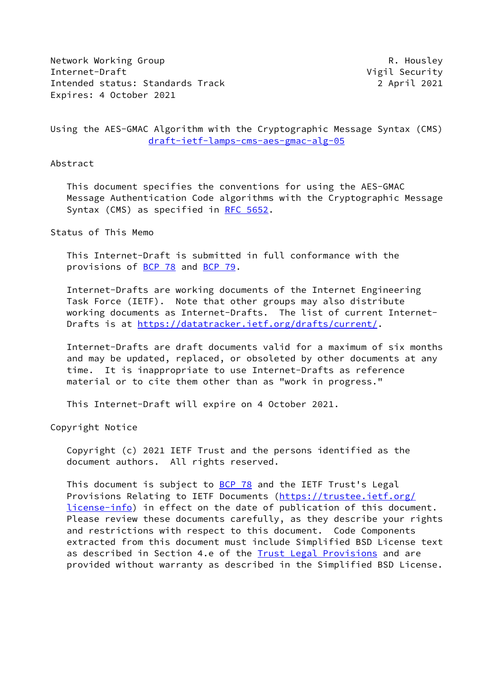Network Working Group **R. Housley** Internet-Draft **Vigil Security** Intended status: Standards Track 2 April 2021 Expires: 4 October 2021

Using the AES-GMAC Algorithm with the Cryptographic Message Syntax (CMS) [draft-ietf-lamps-cms-aes-gmac-alg-05](https://datatracker.ietf.org/doc/pdf/draft-ietf-lamps-cms-aes-gmac-alg-05)

## Abstract

 This document specifies the conventions for using the AES-GMAC Message Authentication Code algorithms with the Cryptographic Message Syntax (CMS) as specified in [RFC 5652](https://datatracker.ietf.org/doc/pdf/rfc5652).

Status of This Memo

 This Internet-Draft is submitted in full conformance with the provisions of [BCP 78](https://datatracker.ietf.org/doc/pdf/bcp78) and [BCP 79](https://datatracker.ietf.org/doc/pdf/bcp79).

 Internet-Drafts are working documents of the Internet Engineering Task Force (IETF). Note that other groups may also distribute working documents as Internet-Drafts. The list of current Internet- Drafts is at<https://datatracker.ietf.org/drafts/current/>.

 Internet-Drafts are draft documents valid for a maximum of six months and may be updated, replaced, or obsoleted by other documents at any time. It is inappropriate to use Internet-Drafts as reference material or to cite them other than as "work in progress."

This Internet-Draft will expire on 4 October 2021.

Copyright Notice

 Copyright (c) 2021 IETF Trust and the persons identified as the document authors. All rights reserved.

 This document is subject to [BCP 78](https://datatracker.ietf.org/doc/pdf/bcp78) and the IETF Trust's Legal Provisions Relating to IETF Documents ([https://trustee.ietf.org/](https://trustee.ietf.org/license-info) [license-info](https://trustee.ietf.org/license-info)) in effect on the date of publication of this document. Please review these documents carefully, as they describe your rights and restrictions with respect to this document. Code Components extracted from this document must include Simplified BSD License text as described in Section 4.e of the **[Trust Legal Provisions](https://trustee.ietf.org/license-info)** and are provided without warranty as described in the Simplified BSD License.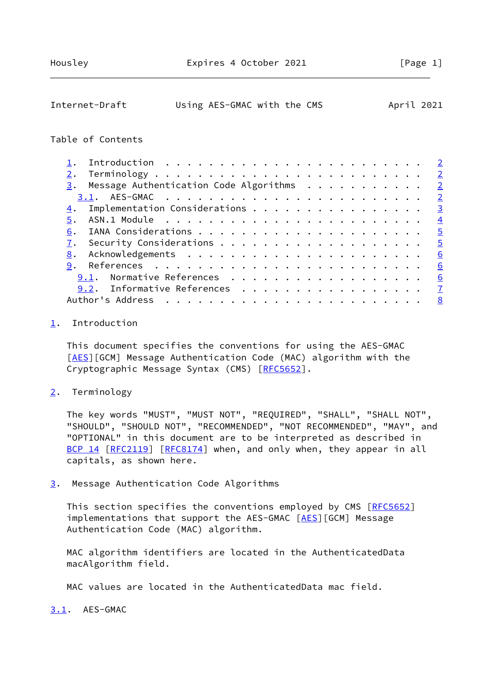<span id="page-1-1"></span>

| Internet-Draft | Using AES-GMAC with the CMS |  | April 2021 |  |
|----------------|-----------------------------|--|------------|--|
|                |                             |  |            |  |

## Table of Contents

|    | $\overline{2}$                                                             |
|----|----------------------------------------------------------------------------|
|    | $\underline{3}$ . Message Authentication Code Algorithms<br>$\overline{2}$ |
|    | $\overline{2}$                                                             |
| 4. | Implementation Considerations<br>$\overline{3}$                            |
| 5. | $\overline{4}$                                                             |
| 6. | $\overline{5}$                                                             |
|    | $\overline{5}$                                                             |
| 8. | 6                                                                          |
| 9. | 6                                                                          |
|    | 9.1. Normative References<br>6                                             |
|    | 9.2. Informative References<br>$\overline{7}$                              |
|    | Author's Address<br>8                                                      |

## <span id="page-1-0"></span>[1](#page-1-0). Introduction

 This document specifies the conventions for using the AES-GMAC [\[AES](#page-6-4)][GCM] Message Authentication Code (MAC) algorithm with the Cryptographic Message Syntax (CMS) [[RFC5652\]](https://datatracker.ietf.org/doc/pdf/rfc5652).

<span id="page-1-2"></span>[2](#page-1-2). Terminology

 The key words "MUST", "MUST NOT", "REQUIRED", "SHALL", "SHALL NOT", "SHOULD", "SHOULD NOT", "RECOMMENDED", "NOT RECOMMENDED", "MAY", and "OPTIONAL" in this document are to be interpreted as described in [BCP 14](https://datatracker.ietf.org/doc/pdf/bcp14) [\[RFC2119](https://datatracker.ietf.org/doc/pdf/rfc2119)] [\[RFC8174](https://datatracker.ietf.org/doc/pdf/rfc8174)] when, and only when, they appear in all capitals, as shown here.

<span id="page-1-3"></span>[3](#page-1-3). Message Authentication Code Algorithms

This section specifies the conventions employed by CMS [\[RFC5652](https://datatracker.ietf.org/doc/pdf/rfc5652)] implementations that support the [AES](#page-6-4)-GMAC [AES][GCM] Message Authentication Code (MAC) algorithm.

 MAC algorithm identifiers are located in the AuthenticatedData macAlgorithm field.

MAC values are located in the AuthenticatedData mac field.

<span id="page-1-4"></span>[3.1](#page-1-4). AES-GMAC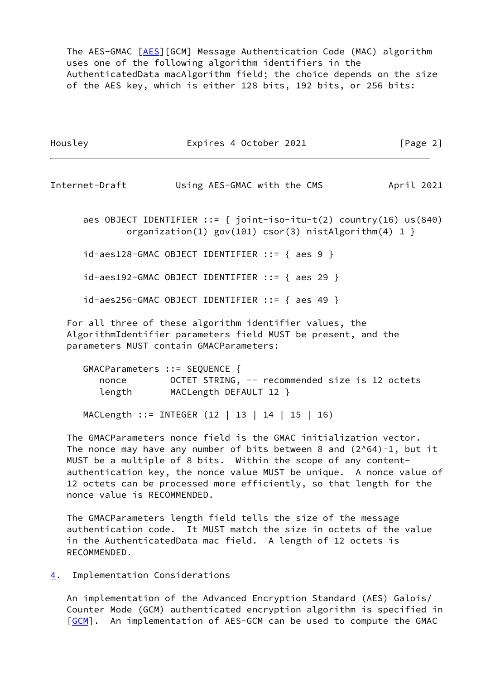The AES-GMAC [\[AES](#page-6-4)][GCM] Message Authentication Code (MAC) algorithm uses one of the following algorithm identifiers in the AuthenticatedData macAlgorithm field; the choice depends on the size of the AES key, which is either 128 bits, 192 bits, or 256 bits:

| Housley | Expires 4 October 2021 | [Page 2] |
|---------|------------------------|----------|
|         |                        |          |

<span id="page-2-1"></span>Internet-Draft Using AES-GMAC with the CMS April 2021

 aes OBJECT IDENTIFIER ::= { joint-iso-itu-t(2) country(16) us(840) organization(1) gov(101) csor(3) nistAlgorithm(4) 1 }

id-aes128-GMAC OBJECT IDENTIFIER ::= { aes 9 }

id-aes192-GMAC OBJECT IDENTIFIER ::= { aes 29 }

id-aes256-GMAC OBJECT IDENTIFIER ::= { aes 49 }

 For all three of these algorithm identifier values, the AlgorithmIdentifier parameters field MUST be present, and the parameters MUST contain GMACParameters:

| GMACParameters ::= SEQUENCE { |                                                |
|-------------------------------|------------------------------------------------|
| nonce                         | OCTET STRING, -- recommended size is 12 octets |
| length                        | MACLength DEFAULT 12 }                         |

MACLength ::= INTEGER (12 | 13 | 14 | 15 | 16)

 The GMACParameters nonce field is the GMAC initialization vector. The nonce may have any number of bits between 8 and  $(2^{64})-1$ , but it MUST be a multiple of 8 bits. Within the scope of any content authentication key, the nonce value MUST be unique. A nonce value of 12 octets can be processed more efficiently, so that length for the nonce value is RECOMMENDED.

 The GMACParameters length field tells the size of the message authentication code. It MUST match the size in octets of the value in the AuthenticatedData mac field. A length of 12 octets is RECOMMENDED.

## <span id="page-2-0"></span>[4](#page-2-0). Implementation Considerations

 An implementation of the Advanced Encryption Standard (AES) Galois/ Counter Mode (GCM) authenticated encryption algorithm is specified in [\[GCM](#page-6-5)]. An implementation of AES-GCM can be used to compute the GMAC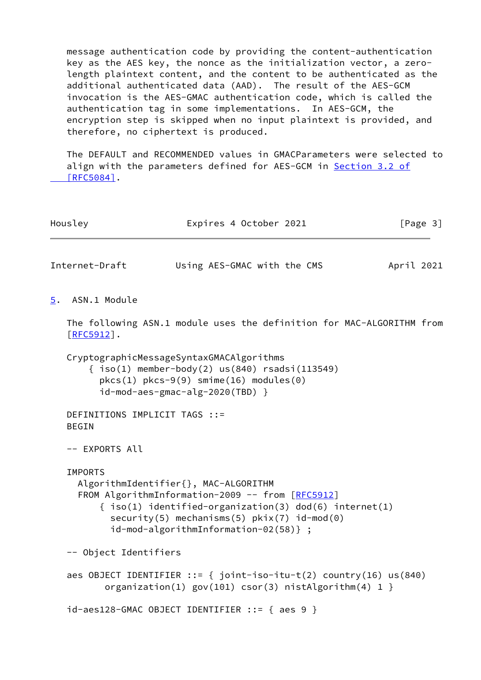message authentication code by providing the content-authentication key as the AES key, the nonce as the initialization vector, a zero length plaintext content, and the content to be authenticated as the additional authenticated data (AAD). The result of the AES-GCM invocation is the AES-GMAC authentication code, which is called the authentication tag in some implementations. In AES-GCM, the encryption step is skipped when no input plaintext is provided, and therefore, no ciphertext is produced.

 The DEFAULT and RECOMMENDED values in GMACParameters were selected to align with the parameters defined for AES-GCM in [Section](https://datatracker.ietf.org/doc/pdf/rfc5084#section-3.2) 3.2 of  $[RFC5084]$ .

<span id="page-3-1"></span><span id="page-3-0"></span>

| Housley                                       | Expires 4 October 2021                                                                                                                                                                                                                          |            | [Page 3] |
|-----------------------------------------------|-------------------------------------------------------------------------------------------------------------------------------------------------------------------------------------------------------------------------------------------------|------------|----------|
| Internet-Draft                                | Using AES-GMAC with the CMS                                                                                                                                                                                                                     | April 2021 |          |
| ASN.1 Module<br>$\overline{5}$ .              |                                                                                                                                                                                                                                                 |            |          |
| $[REC5912]$ .                                 | The following ASN.1 module uses the definition for MAC-ALGORITHM from                                                                                                                                                                           |            |          |
|                                               | CryptographicMessageSyntaxGMACAlgorithms<br>$\{ iso(1)$ member-body(2) us(840) rsadsi(113549)<br>$pkcs(1) pkcs-9(9) simine(16) modules(0)$<br>id-mod-aes-gmac-alg-2020(TBD) }                                                                   |            |          |
| DEFINITIONS IMPLICIT TAGS ::=<br><b>BEGIN</b> |                                                                                                                                                                                                                                                 |            |          |
| -- EXPORTS All                                |                                                                                                                                                                                                                                                 |            |          |
| <b>IMPORTS</b>                                | AlgorithmIdentifier{}, MAC-ALGORITHM<br>FROM AlgorithmInformation-2009 -- from [RFC5912]<br>$\{ iso(1)$ identified-organization(3) dod(6) internet(1)<br>security(5) mechanisms(5) $pkix(7)$ id-mod(0)<br>id-mod-algorithmInformation-02(58)} ; |            |          |
| -- Object Identifiers                         |                                                                                                                                                                                                                                                 |            |          |
|                                               | aes OBJECT IDENTIFIER ::= { joint-iso-itu-t(2) country(16) us(840)<br>organization(1) $gov(101) cos(c) nistAlgorithms(4) 1$                                                                                                                     |            |          |
|                                               | $id-aes128-GMAC OBJECT IDENTIFIER :: = { aes 9 }$                                                                                                                                                                                               |            |          |
|                                               |                                                                                                                                                                                                                                                 |            |          |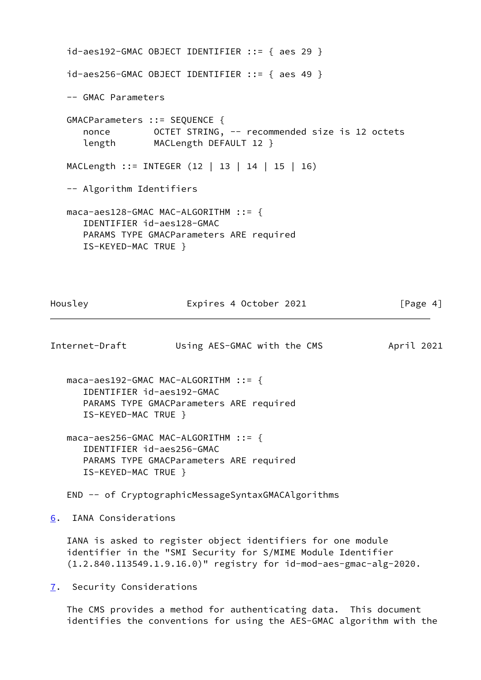id-aes192-GMAC OBJECT IDENTIFIER ::= { aes 29 } id-aes256-GMAC OBJECT IDENTIFIER ::= { aes 49 } -- GMAC Parameters GMACParameters ::= SEQUENCE { nonce 0CTET STRING, -- recommended size is 12 octets length MACLength DEFAULT 12 } MACLength ::= INTEGER (12 | 13 | 14 | 15 | 16) -- Algorithm Identifiers maca-aes128-GMAC MAC-ALGORITHM ::= { IDENTIFIER id-aes128-GMAC PARAMS TYPE GMACParameters ARE required IS-KEYED-MAC TRUE }

Housley **Expires 4 October 2021** [Page 4]

<span id="page-4-1"></span>Internet-Draft Using AES-GMAC with the CMS April 2021

 maca-aes192-GMAC MAC-ALGORITHM ::= { IDENTIFIER id-aes192-GMAC PARAMS TYPE GMACParameters ARE required IS-KEYED-MAC TRUE }

 maca-aes256-GMAC MAC-ALGORITHM ::= { IDENTIFIER id-aes256-GMAC PARAMS TYPE GMACParameters ARE required IS-KEYED-MAC TRUE }

END -- of CryptographicMessageSyntaxGMACAlgorithms

<span id="page-4-0"></span>[6](#page-4-0). IANA Considerations

 IANA is asked to register object identifiers for one module identifier in the "SMI Security for S/MIME Module Identifier (1.2.840.113549.1.9.16.0)" registry for id-mod-aes-gmac-alg-2020.

<span id="page-4-2"></span>[7](#page-4-2). Security Considerations

 The CMS provides a method for authenticating data. This document identifies the conventions for using the AES-GMAC algorithm with the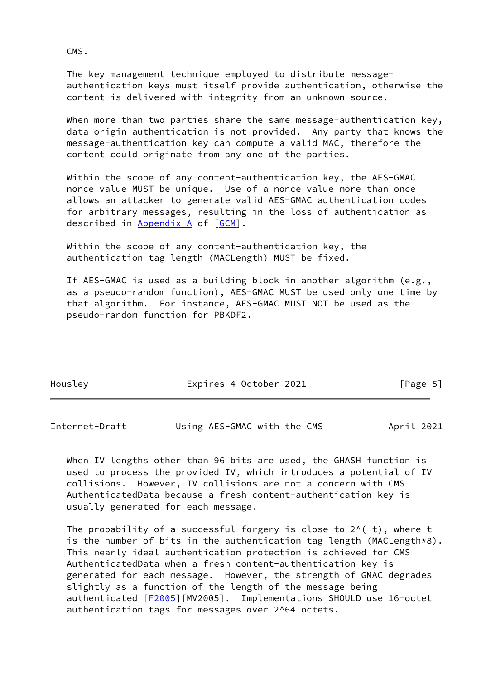CMS.

 The key management technique employed to distribute message authentication keys must itself provide authentication, otherwise the content is delivered with integrity from an unknown source.

When more than two parties share the same message-authentication key, data origin authentication is not provided. Any party that knows the message-authentication key can compute a valid MAC, therefore the content could originate from any one of the parties.

 Within the scope of any content-authentication key, the AES-GMAC nonce value MUST be unique. Use of a nonce value more than once allows an attacker to generate valid AES-GMAC authentication codes for arbitrary messages, resulting in the loss of authentication as described in Appendix A of [[GCM\]](#page-6-5).

Within the scope of any content-authentication key, the authentication tag length (MACLength) MUST be fixed.

 If AES-GMAC is used as a building block in another algorithm (e.g., as a pseudo-random function), AES-GMAC MUST be used only one time by that algorithm. For instance, AES-GMAC MUST NOT be used as the pseudo-random function for PBKDF2.

| Housley | Expires 4 October 2021 | [Page 5] |
|---------|------------------------|----------|
|         |                        |          |

<span id="page-5-0"></span>Internet-Draft Using AES-GMAC with the CMS April 2021

 When IV lengths other than 96 bits are used, the GHASH function is used to process the provided IV, which introduces a potential of IV collisions. However, IV collisions are not a concern with CMS AuthenticatedData because a fresh content-authentication key is usually generated for each message.

The probability of a successful forgery is close to  $2^{\wedge}(-t)$ , where t is the number of bits in the authentication tag length (MACLength\*8). This nearly ideal authentication protection is achieved for CMS AuthenticatedData when a fresh content-authentication key is generated for each message. However, the strength of GMAC degrades slightly as a function of the length of the message being authenticated [[F2005\]](#page-7-2)[MV2005]. Implementations SHOULD use 16-octet authentication tags for messages over 2^64 octets.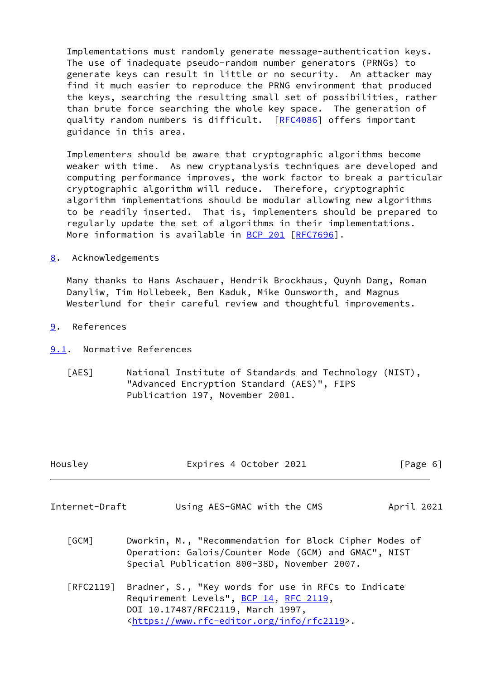Implementations must randomly generate message-authentication keys. The use of inadequate pseudo-random number generators (PRNGs) to generate keys can result in little or no security. An attacker may find it much easier to reproduce the PRNG environment that produced the keys, searching the resulting small set of possibilities, rather than brute force searching the whole key space. The generation of quality random numbers is difficult. [[RFC4086](https://datatracker.ietf.org/doc/pdf/rfc4086)] offers important guidance in this area.

 Implementers should be aware that cryptographic algorithms become weaker with time. As new cryptanalysis techniques are developed and computing performance improves, the work factor to break a particular cryptographic algorithm will reduce. Therefore, cryptographic algorithm implementations should be modular allowing new algorithms to be readily inserted. That is, implementers should be prepared to regularly update the set of algorithms in their implementations. More information is available in [BCP 201](https://datatracker.ietf.org/doc/pdf/bcp201) [\[RFC7696](https://datatracker.ietf.org/doc/pdf/rfc7696)].

<span id="page-6-0"></span>[8](#page-6-0). Acknowledgements

 Many thanks to Hans Aschauer, Hendrik Brockhaus, Quynh Dang, Roman Danyliw, Tim Hollebeek, Ben Kaduk, Mike Ounsworth, and Magnus Westerlund for their careful review and thoughtful improvements.

- <span id="page-6-1"></span>[9](#page-6-1). References
- <span id="page-6-4"></span><span id="page-6-2"></span>[9.1](#page-6-2). Normative References
	- [AES] National Institute of Standards and Technology (NIST), "Advanced Encryption Standard (AES)", FIPS Publication 197, November 2001.

<span id="page-6-5"></span><span id="page-6-3"></span>

| Housley             | Expires 4 October 2021                                                                                                                                                                            | $\lceil \text{Page } 6 \rceil$ |
|---------------------|---------------------------------------------------------------------------------------------------------------------------------------------------------------------------------------------------|--------------------------------|
| Internet-Draft      | Using AES-GMAC with the CMS                                                                                                                                                                       | April 2021                     |
| $\sqrt{\text{GCM}}$ | Dworkin, M., "Recommendation for Block Cipher Modes of<br>Operation: Galois/Counter Mode (GCM) and GMAC", NIST<br>Special Publication 800-38D, November 2007.                                     |                                |
| [RFC2119]           | Bradner, S., "Key words for use in RFCs to Indicate<br>Requirement Levels", BCP 14, RFC 2119,<br>DOI 10.17487/RFC2119, March 1997,<br><https: info="" rfc2119="" www.rfc-editor.org="">.</https:> |                                |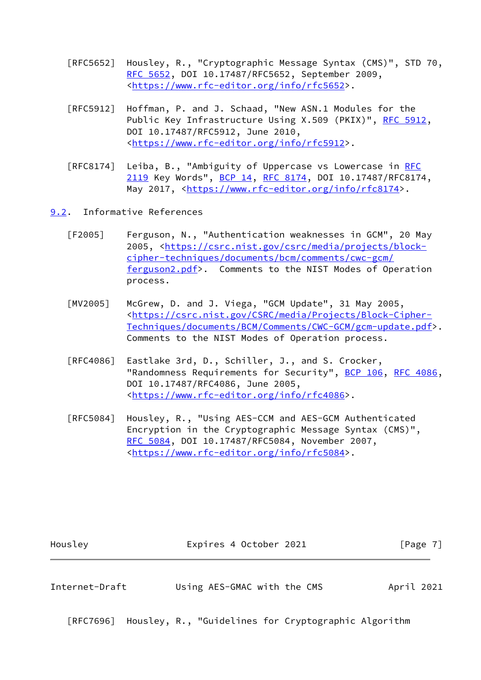- [RFC5652] Housley, R., "Cryptographic Message Syntax (CMS)", STD 70, [RFC 5652,](https://datatracker.ietf.org/doc/pdf/rfc5652) DOI 10.17487/RFC5652, September 2009, <[https://www.rfc-editor.org/info/rfc5652>](https://www.rfc-editor.org/info/rfc5652).
- [RFC5912] Hoffman, P. and J. Schaad, "New ASN.1 Modules for the Public Key Infrastructure Using X.509 (PKIX)", [RFC 5912](https://datatracker.ietf.org/doc/pdf/rfc5912), DOI 10.17487/RFC5912, June 2010, <[https://www.rfc-editor.org/info/rfc5912>](https://www.rfc-editor.org/info/rfc5912).
- [RFC8174] Leiba, B., "Ambiguity of Uppercase vs Lowercase in [RFC](https://datatracker.ietf.org/doc/pdf/rfc2119) [2119](https://datatracker.ietf.org/doc/pdf/rfc2119) Key Words", [BCP 14](https://datatracker.ietf.org/doc/pdf/bcp14), [RFC 8174,](https://datatracker.ietf.org/doc/pdf/rfc8174) DOI 10.17487/RFC8174, May 2017, [<https://www.rfc-editor.org/info/rfc8174](https://www.rfc-editor.org/info/rfc8174)>.
- <span id="page-7-2"></span><span id="page-7-0"></span>[9.2](#page-7-0). Informative References
	- [F2005] Ferguson, N., "Authentication weaknesses in GCM", 20 May 2005, [<https://csrc.nist.gov/csrc/media/projects/block](https://csrc.nist.gov/csrc/media/projects/block-cipher-techniques/documents/bcm/comments/cwc-gcm/ferguson2.pdf) [cipher-techniques/documents/bcm/comments/cwc-gcm/](https://csrc.nist.gov/csrc/media/projects/block-cipher-techniques/documents/bcm/comments/cwc-gcm/ferguson2.pdf) [ferguson2.pdf>](https://csrc.nist.gov/csrc/media/projects/block-cipher-techniques/documents/bcm/comments/cwc-gcm/ferguson2.pdf). Comments to the NIST Modes of Operation process.
	- [MV2005] McGrew, D. and J. Viega, "GCM Update", 31 May 2005, <[https://csrc.nist.gov/CSRC/media/Projects/Block-Cipher-](https://csrc.nist.gov/CSRC/media/Projects/Block-Cipher-Techniques/documents/BCM/Comments/CWC-GCM/gcm-update.pdf) [Techniques/documents/BCM/Comments/CWC-GCM/gcm-update.pdf>](https://csrc.nist.gov/CSRC/media/Projects/Block-Cipher-Techniques/documents/BCM/Comments/CWC-GCM/gcm-update.pdf). Comments to the NIST Modes of Operation process.
	- [RFC4086] Eastlake 3rd, D., Schiller, J., and S. Crocker, "Randomness Requirements for Security", [BCP 106](https://datatracker.ietf.org/doc/pdf/bcp106), [RFC 4086,](https://datatracker.ietf.org/doc/pdf/rfc4086) DOI 10.17487/RFC4086, June 2005, <[https://www.rfc-editor.org/info/rfc4086>](https://www.rfc-editor.org/info/rfc4086).
	- [RFC5084] Housley, R., "Using AES-CCM and AES-GCM Authenticated Encryption in the Cryptographic Message Syntax (CMS)", [RFC 5084,](https://datatracker.ietf.org/doc/pdf/rfc5084) DOI 10.17487/RFC5084, November 2007, <[https://www.rfc-editor.org/info/rfc5084>](https://www.rfc-editor.org/info/rfc5084).

<span id="page-7-1"></span>

| Housley        | Expires 4 October 2021      | [Page $7$ ] |  |
|----------------|-----------------------------|-------------|--|
|                |                             |             |  |
| Internet-Draft | Using AES-GMAC with the CMS | April 2021  |  |

[RFC7696] Housley, R., "Guidelines for Cryptographic Algorithm